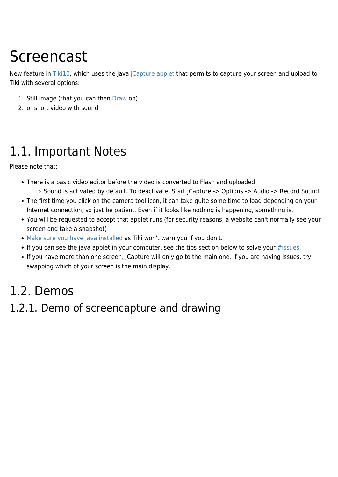# Screencast

New feature in [Tiki10,](https://doc.tiki.org/Tiki10) which uses the Java [jCapture applet](https://sourceforge.net/projects/jcapture-applet/) that permits to capture your screen and upload to Tiki with several options:

- 1. Still image (that you can then [Draw](https://doc.tiki.org/Draw) on).
- 2. or short video with sound

### 1.1. Important Notes

Please note that:

- There is a basic video editor before the video is converted to Flash and uploaded
	- Sound is activated by default. To deactivate: Start jCapture -> Options -> Audio -> Record Sound
- The first time you click on the camera tool icon, it can take quite some time to load depending on your Internet connection, so just be patient. Even if it looks like nothing is happening, something is.
- You will be requested to accept that applet runs (for security reasons, a website can't normally see your screen and take a snapshot)
- [Make sure you have Java installed](http://java.com/en/download/installed.jsp) as Tiki won't warn you if you don't.
- If you can see the java applet in your computer, see the tips section below to solve your [#issues](#page--1-0).
- If you have more than one screen, jCapture will only go to the main one. If you are having issues, try swapping which of your screen is the main display.

### 1.2. Demos

#### 1.2.1. Demo of screencapture and drawing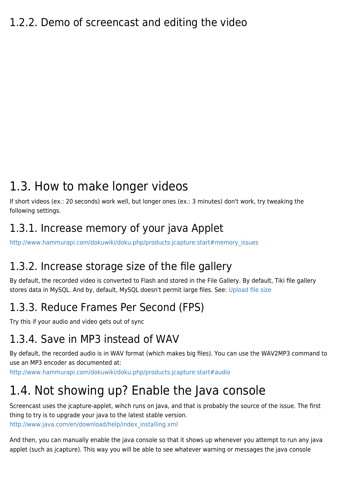## 1.3. How to make longer videos

If short videos (ex.: 20 seconds) work well, but longer ones (ex.: 3 minutes) don't work, try tweaking the following settings.

#### 1.3.1. Increase memory of your java Applet

[http://www.hammurapi.com/dokuwiki/doku.php/products:jcapture:start#memory\\_issues](http://www.hammurapi.com/dokuwiki/doku.php/products:jcapture:start#memory_issues)

#### 1.3.2. Increase storage size of the file gallery

By default, the recorded video is converted to Flash and stored in the File Gallery. By default, Tiki file gallery stores data in MySQL. And by, default, MySQL doesn't permit large files. See: [Upload file size](https://doc.tiki.org/Upload-file-size)

#### 1.3.3. Reduce Frames Per Second (FPS)

Try this if your audio and video gets out of sync

#### 1.3.4. Save in MP3 instead of WAV

By default, the recorded audio is in WAV format (which makes big files). You can use the WAV2MP3 command to use an MP3 encoder as documented at:

<http://www.hammurapi.com/dokuwiki/doku.php/products:jcapture:start#audio>

# 1.4. Not showing up? Enable the Java console

Screencast uses the jcapture-applet, wihch runs on Java, and that is probably the source of the issue. The first thing to try is to upgrade your java to the latest stable version. [http://www.java.com/en/download/help/index\\_installing.xml](http://www.java.com/en/download/help/index_installing.xml)

And then, you can manually enable the java console so that it shows up whenever you attempt to run any java applet (such as jcapture). This way you will be able to see whatever warning or messages the java console